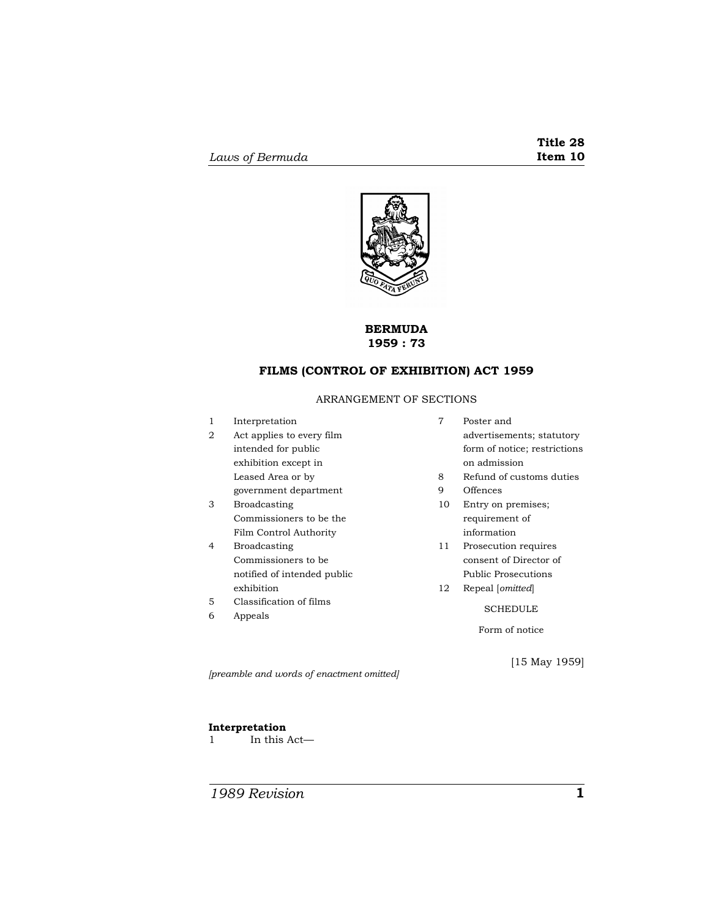

## **BERMUDA 1959 : 73**

# **FILMS (CONTROL OF EXHIBITION) ACT 1959**

## ARRANGEMENT OF SECTIONS

| 1 | Interpretation              | 7  | Poster and                   |
|---|-----------------------------|----|------------------------------|
| 2 | Act applies to every film   |    | advertisements; statutory    |
|   | intended for public         |    | form of notice; restrictions |
|   | exhibition except in        |    | on admission                 |
|   | Leased Area or by           | 8  | Refund of customs duties     |
|   | government department       | 9  | Offences                     |
| З | <b>Broadcasting</b>         | 10 | Entry on premises;           |
|   | Commissioners to be the     |    | requirement of               |
|   | Film Control Authority      |    | information                  |
| 4 | <b>Broadcasting</b>         | 11 | Prosecution requires         |
|   | Commissioners to be         |    | consent of Director of       |
|   | notified of intended public |    | Public Prosecutions          |
|   | exhibition                  | 12 | Repeal [ <i>omitted</i> ]    |
| 5 | Classification of films     |    | <b>SCHEDULE</b>              |
| 6 | Appeals                     |    |                              |
|   |                             |    | Form of notice               |
|   |                             |    |                              |
|   |                             |    |                              |

*[preamble and words of enactment omitted]* 

[15 May 1959]

## **Interpretation**

1 In this Act—

*1989 Revision* **1**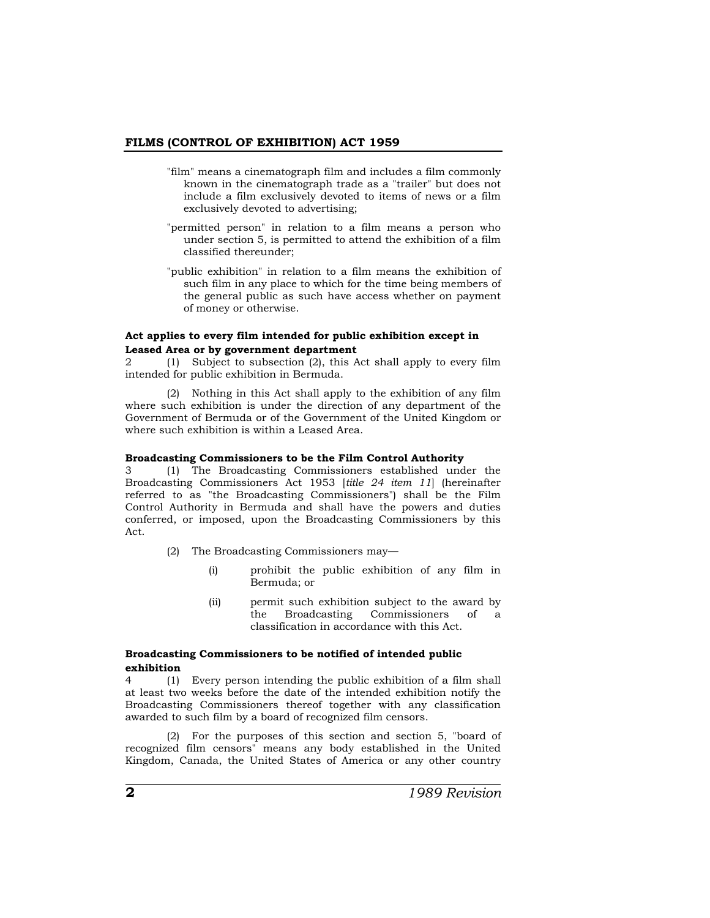#### **FILMS (CONTROL OF EXHIBITION) ACT 1959**

- "film" means a cinematograph film and includes a film commonly known in the cinematograph trade as a "trailer" but does not include a film exclusively devoted to items of news or a film exclusively devoted to advertising;
- "permitted person" in relation to a film means a person who under section 5, is permitted to attend the exhibition of a film classified thereunder;
- "public exhibition" in relation to a film means the exhibition of such film in any place to which for the time being members of the general public as such have access whether on payment of money or otherwise.

### **Act applies to every film intended for public exhibition except in Leased Area or by government department**

2 (1) Subject to subsection (2), this Act shall apply to every film intended for public exhibition in Bermuda.

(2) Nothing in this Act shall apply to the exhibition of any film where such exhibition is under the direction of any department of the Government of Bermuda or of the Government of the United Kingdom or where such exhibition is within a Leased Area.

#### **Broadcasting Commissioners to be the Film Control Authority**

3 (1) The Broadcasting Commissioners established under the Broadcasting Commissioners Act 1953 [*title 24 item 11*] (hereinafter referred to as "the Broadcasting Commissioners") shall be the Film Control Authority in Bermuda and shall have the powers and duties conferred, or imposed, upon the Broadcasting Commissioners by this Act.

- (2) The Broadcasting Commissioners may—
	- (i) prohibit the public exhibition of any film in Bermuda; or
	- (ii) permit such exhibition subject to the award by the Broadcasting Commissioners of a classification in accordance with this Act.

## **Broadcasting Commissioners to be notified of intended public exhibition**

4 (1) Every person intending the public exhibition of a film shall at least two weeks before the date of the intended exhibition notify the Broadcasting Commissioners thereof together with any classification awarded to such film by a board of recognized film censors.

(2) For the purposes of this section and section 5, "board of recognized film censors" means any body established in the United Kingdom, Canada, the United States of America or any other country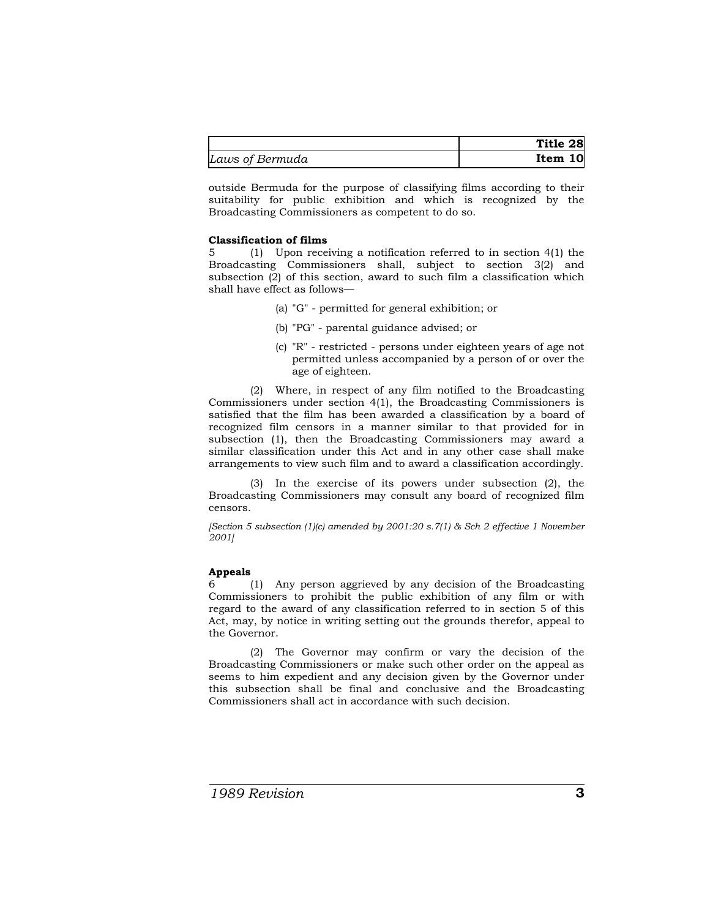|                 | Title 28 |
|-----------------|----------|
| Laws of Bermuda | Item 10  |

outside Bermuda for the purpose of classifying films according to their suitability for public exhibition and which is recognized by the Broadcasting Commissioners as competent to do so.

## **Classification of films**

5 (1) Upon receiving a notification referred to in section 4(1) the Broadcasting Commissioners shall, subject to section 3(2) and subsection (2) of this section, award to such film a classification which shall have effect as follows—

- (a) "G" permitted for general exhibition; or
- (b) "PG" parental guidance advised; or
- (c) "R" restricted persons under eighteen years of age not permitted unless accompanied by a person of or over the age of eighteen.

(2) Where, in respect of any film notified to the Broadcasting Commissioners under section 4(1), the Broadcasting Commissioners is satisfied that the film has been awarded a classification by a board of recognized film censors in a manner similar to that provided for in subsection (1), then the Broadcasting Commissioners may award a similar classification under this Act and in any other case shall make arrangements to view such film and to award a classification accordingly.

(3) In the exercise of its powers under subsection (2), the Broadcasting Commissioners may consult any board of recognized film censors.

*[Section 5 subsection (1)(c) amended by 2001:20 s.7(1) & Sch 2 effective 1 November 2001]* 

## **Appeals**

6 (1) Any person aggrieved by any decision of the Broadcasting Commissioners to prohibit the public exhibition of any film or with regard to the award of any classification referred to in section 5 of this Act, may, by notice in writing setting out the grounds therefor, appeal to the Governor.

(2) The Governor may confirm or vary the decision of the Broadcasting Commissioners or make such other order on the appeal as seems to him expedient and any decision given by the Governor under this subsection shall be final and conclusive and the Broadcasting Commissioners shall act in accordance with such decision.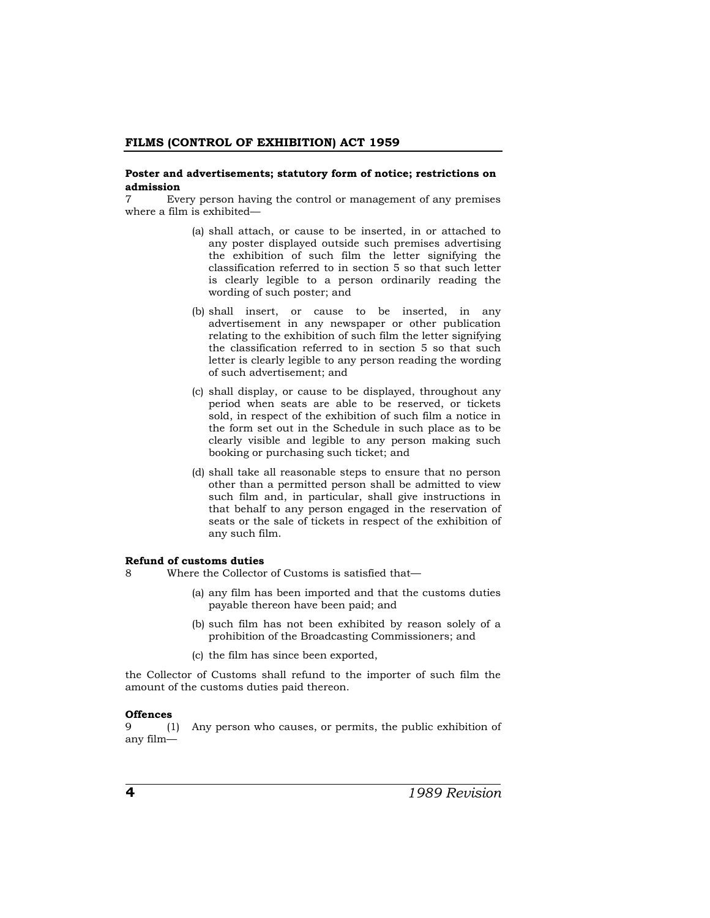#### **Poster and advertisements; statutory form of notice; restrictions on admission**

7 Every person having the control or management of any premises where a film is exhibited—

- (a) shall attach, or cause to be inserted, in or attached to any poster displayed outside such premises advertising the exhibition of such film the letter signifying the classification referred to in section 5 so that such letter is clearly legible to a person ordinarily reading the wording of such poster; and
- (b) shall insert, or cause to be inserted, in any advertisement in any newspaper or other publication relating to the exhibition of such film the letter signifying the classification referred to in section 5 so that such letter is clearly legible to any person reading the wording of such advertisement; and
- (c) shall display, or cause to be displayed, throughout any period when seats are able to be reserved, or tickets sold, in respect of the exhibition of such film a notice in the form set out in the Schedule in such place as to be clearly visible and legible to any person making such booking or purchasing such ticket; and
- (d) shall take all reasonable steps to ensure that no person other than a permitted person shall be admitted to view such film and, in particular, shall give instructions in that behalf to any person engaged in the reservation of seats or the sale of tickets in respect of the exhibition of any such film.

## **Refund of customs duties**

- 8 Where the Collector of Customs is satisfied that—
	- (a) any film has been imported and that the customs duties payable thereon have been paid; and
	- (b) such film has not been exhibited by reason solely of a prohibition of the Broadcasting Commissioners; and
	- (c) the film has since been exported,

the Collector of Customs shall refund to the importer of such film the amount of the customs duties paid thereon.

#### **Offences**

9 (1) Any person who causes, or permits, the public exhibition of any film—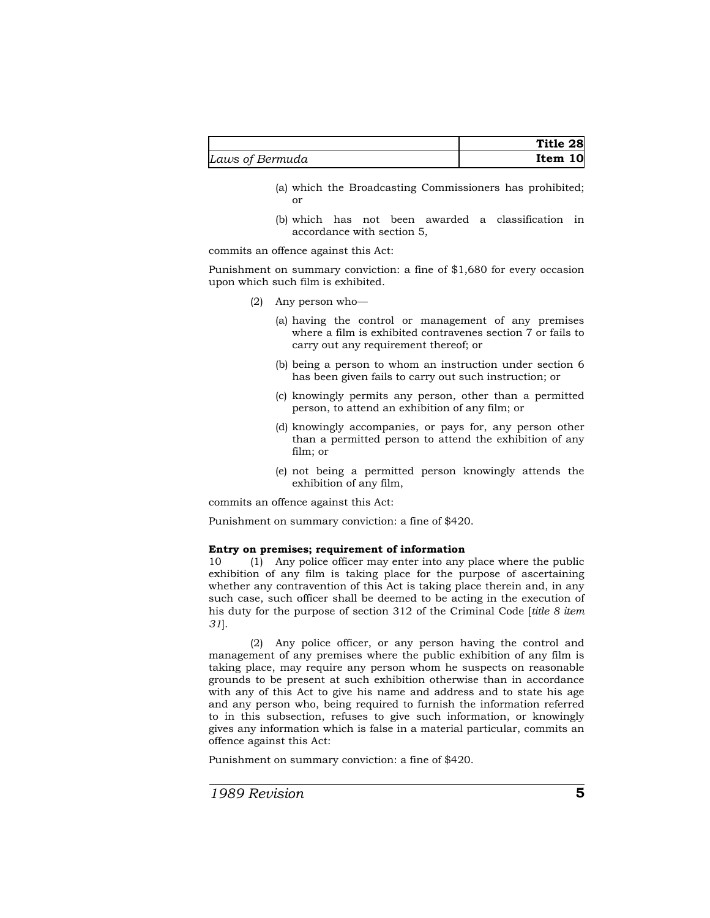|                 | Title 28 |
|-----------------|----------|
| Laws of Bermuda | Item 10  |

- (a) which the Broadcasting Commissioners has prohibited; or
- (b) which has not been awarded a classification in accordance with section 5,

commits an offence against this Act:

Punishment on summary conviction: a fine of \$1,680 for every occasion upon which such film is exhibited.

- (2) Any person who—
	- (a) having the control or management of any premises where a film is exhibited contravenes section 7 or fails to carry out any requirement thereof; or
	- (b) being a person to whom an instruction under section 6 has been given fails to carry out such instruction; or
	- (c) knowingly permits any person, other than a permitted person, to attend an exhibition of any film; or
	- (d) knowingly accompanies, or pays for, any person other than a permitted person to attend the exhibition of any film; or
	- (e) not being a permitted person knowingly attends the exhibition of any film,

commits an offence against this Act:

Punishment on summary conviction: a fine of \$420.

### **Entry on premises; requirement of information**

10 (1) Any police officer may enter into any place where the public exhibition of any film is taking place for the purpose of ascertaining whether any contravention of this Act is taking place therein and, in any such case, such officer shall be deemed to be acting in the execution of his duty for the purpose of section 312 of the Criminal Code [*title 8 item 31*].

(2) Any police officer, or any person having the control and management of any premises where the public exhibition of any film is taking place, may require any person whom he suspects on reasonable grounds to be present at such exhibition otherwise than in accordance with any of this Act to give his name and address and to state his age and any person who, being required to furnish the information referred to in this subsection, refuses to give such information, or knowingly gives any information which is false in a material particular, commits an offence against this Act:

Punishment on summary conviction: a fine of \$420.